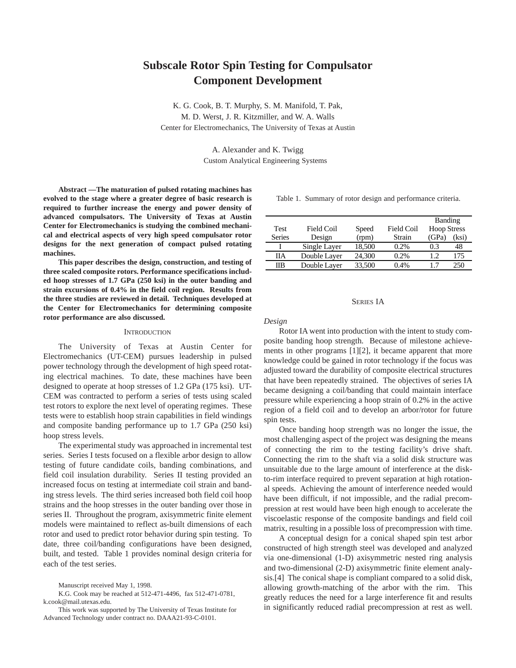# **Subscale Rotor Spin Testing for Compulsator Component Development**

K. G. Cook, B. T. Murphy, S. M. Manifold, T. Pak, M. D. Werst, J. R. Kitzmiller, and W. A. Walls Center for Electromechanics, The University of Texas at Austin

> A. Alexander and K. Twigg Custom Analytical Engineering Systems

**Abstract —The maturation of pulsed rotating machines has evolved to the stage where a greater degree of basic research is required to further increase the energy and power density of advanced compulsators. The University of Texas at Austin Center for Electromechanics is studying the combined mechanical and electrical aspects of very high speed compulsator rotor designs for the next generation of compact pulsed rotating machines.**

**This paper describes the design, construction, and testing of three scaled composite rotors. Performance specifications included hoop stresses of 1.7 GPa (250 ksi) in the outer banding and strain excursions of 0.4% in the field coil region. Results from the three studies are reviewed in detail. Techniques developed at the Center for Electromechanics for determining composite rotor performance are also discussed.**

#### **INTRODUCTION**

The University of Texas at Austin Center for Electromechanics (UT-CEM) pursues leadership in pulsed power technology through the development of high speed rotating electrical machines. To date, these machines have been designed to operate at hoop stresses of 1.2 GPa (175 ksi). UT-CEM was contracted to perform a series of tests using scaled test rotors to explore the next level of operating regimes. These tests were to establish hoop strain capabilities in field windings and composite banding performance up to 1.7 GPa (250 ksi) hoop stress levels.

The experimental study was approached in incremental test series. Series I tests focused on a flexible arbor design to allow testing of future candidate coils, banding combinations, and field coil insulation durability. Series II testing provided an increased focus on testing at intermediate coil strain and banding stress levels. The third series increased both field coil hoop strains and the hoop stresses in the outer banding over those in series II. Throughout the program, axisymmetric finite element models were maintained to reflect as-built dimensions of each rotor and used to predict rotor behavior during spin testing. To date, three coil/banding configurations have been designed, built, and tested. Table 1 provides nominal design criteria for each of the test series.

K.G. Cook may be reached at 512-471-4496, fax 512-471-0781, k.cook@mail.utexas.edu.

This work was supported by The University of Texas Institute for Advanced Technology under contract no. DAAA21-93-C-0101.

Table 1. Summary of rotor design and performance criteria.

|               |              |        |            | Banding            |       |
|---------------|--------------|--------|------------|--------------------|-------|
| <b>Test</b>   | Field Coil   | Speed  | Field Coil | <b>Hoop Stress</b> |       |
| <b>Series</b> | Design       | (rpm)  | Strain     | (GPa)              | (ksi) |
|               | Single Layer | 18,500 | 0.2%       | 0.3                | 48    |
| ПA            | Double Layer | 24,300 | 0.2%       | 1.2.               | 175   |
| ШB            | Double Layer | 33,500 | $0.4\%$    |                    | 250   |
|               |              |        |            |                    |       |

#### SERIES IA

*Design*

Rotor IA went into production with the intent to study composite banding hoop strength. Because of milestone achievements in other programs [1][2], it became apparent that more knowledge could be gained in rotor technology if the focus was adjusted toward the durability of composite electrical structures that have been repeatedly strained. The objectives of series IA became designing a coil/banding that could maintain interface pressure while experiencing a hoop strain of 0.2% in the active region of a field coil and to develop an arbor/rotor for future spin tests.

Once banding hoop strength was no longer the issue, the most challenging aspect of the project was designing the means of connecting the rim to the testing facility's drive shaft. Connecting the rim to the shaft via a solid disk structure was unsuitable due to the large amount of interference at the diskto-rim interface required to prevent separation at high rotational speeds. Achieving the amount of interference needed would have been difficult, if not impossible, and the radial precompression at rest would have been high enough to accelerate the viscoelastic response of the composite bandings and field coil matrix, resulting in a possible loss of precompression with time.

A conceptual design for a conical shaped spin test arbor constructed of high strength steel was developed and analyzed via one-dimensional (1-D) axisymmetric nested ring analysis and two-dimensional (2-D) axisymmetric finite element analysis.[4] The conical shape is compliant compared to a solid disk, allowing growth-matching of the arbor with the rim. This greatly reduces the need for a large interference fit and results in significantly reduced radial precompression at rest as well.

Manuscript received May 1, 1998.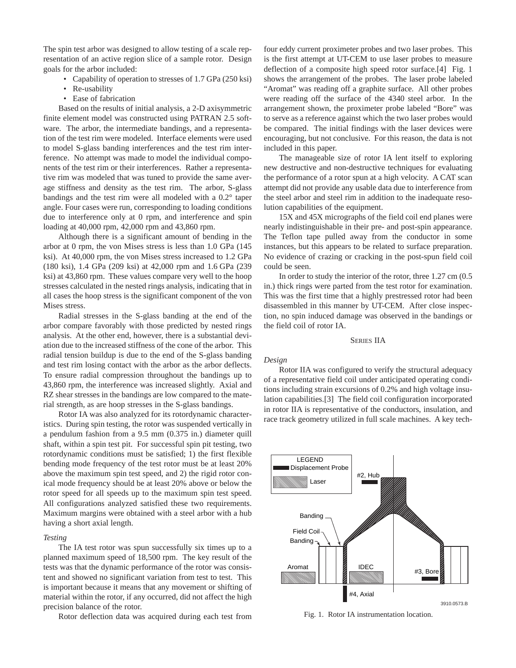The spin test arbor was designed to allow testing of a scale representation of an active region slice of a sample rotor. Design goals for the arbor included:

- Capability of operation to stresses of 1.7 GPa (250 ksi)
- Re-usability
- Ease of fabrication

Based on the results of initial analysis, a 2-D axisymmetric finite element model was constructed using PATRAN 2.5 software. The arbor, the intermediate bandings, and a representation of the test rim were modeled. Interface elements were used to model S-glass banding interferences and the test rim interference. No attempt was made to model the individual components of the test rim or their interferences. Rather a representative rim was modeled that was tuned to provide the same average stiffness and density as the test rim. The arbor, S-glass bandings and the test rim were all modeled with a 0.2° taper angle. Four cases were run, corresponding to loading conditions due to interference only at 0 rpm, and interference and spin loading at 40,000 rpm, 42,000 rpm and 43,860 rpm.

Although there is a significant amount of bending in the arbor at 0 rpm, the von Mises stress is less than 1.0 GPa (145 ksi). At 40,000 rpm, the von Mises stress increased to 1.2 GPa (180 ksi), 1.4 GPa (209 ksi) at 42,000 rpm and 1.6 GPa (239 ksi) at 43,860 rpm. These values compare very well to the hoop stresses calculated in the nested rings analysis, indicating that in all cases the hoop stress is the significant component of the von Mises stress.

Radial stresses in the S-glass banding at the end of the arbor compare favorably with those predicted by nested rings analysis. At the other end, however, there is a substantial deviation due to the increased stiffness of the cone of the arbor. This radial tension buildup is due to the end of the S-glass banding and test rim losing contact with the arbor as the arbor deflects. To ensure radial compression throughout the bandings up to 43,860 rpm, the interference was increased slightly. Axial and RZ shear stresses in the bandings are low compared to the material strength, as are hoop stresses in the S-glass bandings.

Rotor IA was also analyzed for its rotordynamic characteristics. During spin testing, the rotor was suspended vertically in a pendulum fashion from a 9.5 mm (0.375 in.) diameter quill shaft, within a spin test pit. For successful spin pit testing, two rotordynamic conditions must be satisfied; 1) the first flexible bending mode frequency of the test rotor must be at least 20% above the maximum spin test speed, and 2) the rigid rotor conical mode frequency should be at least 20% above or below the rotor speed for all speeds up to the maximum spin test speed. All configurations analyzed satisfied these two requirements. Maximum margins were obtained with a steel arbor with a hub having a short axial length.

### *Testing*

The IA test rotor was spun successfully six times up to a planned maximum speed of 18,500 rpm. The key result of the tests was that the dynamic performance of the rotor was consistent and showed no significant variation from test to test. This is important because it means that any movement or shifting of material within the rotor, if any occurred, did not affect the high precision balance of the rotor.

Rotor deflection data was acquired during each test from

four eddy current proximeter probes and two laser probes. This is the first attempt at UT-CEM to use laser probes to measure deflection of a composite high speed rotor surface.[4] Fig. 1 shows the arrangement of the probes. The laser probe labeled "Aromat" was reading off a graphite surface. All other probes were reading off the surface of the 4340 steel arbor. In the arrangement shown, the proximeter probe labeled "Bore" was to serve as a reference against which the two laser probes would be compared. The initial findings with the laser devices were encouraging, but not conclusive. For this reason, the data is not included in this paper.

The manageable size of rotor IA lent itself to exploring new destructive and non-destructive techniques for evaluating the performance of a rotor spun at a high velocity. A CAT scan attempt did not provide any usable data due to interference from the steel arbor and steel rim in addition to the inadequate resolution capabilities of the equipment.

15X and 45X micrographs of the field coil end planes were nearly indistinguishable in their pre- and post-spin appearance. The Teflon tape pulled away from the conductor in some instances, but this appears to be related to surface preparation. No evidence of crazing or cracking in the post-spun field coil could be seen.

In order to study the interior of the rotor, three 1.27 cm (0.5 in.) thick rings were parted from the test rotor for examination. This was the first time that a highly prestressed rotor had been disassembled in this manner by UT-CEM. After close inspection, no spin induced damage was observed in the bandings or the field coil of rotor IA.

#### SERIES IIA

#### *Design*

Rotor IIA was configured to verify the structural adequacy of a representative field coil under anticipated operating conditions including strain excursions of 0.2% and high voltage insulation capabilities.[3] The field coil configuration incorporated in rotor IIA is representative of the conductors, insulation, and race track geometry utilized in full scale machines. A key tech-



Fig. 1. Rotor IA instrumentation location.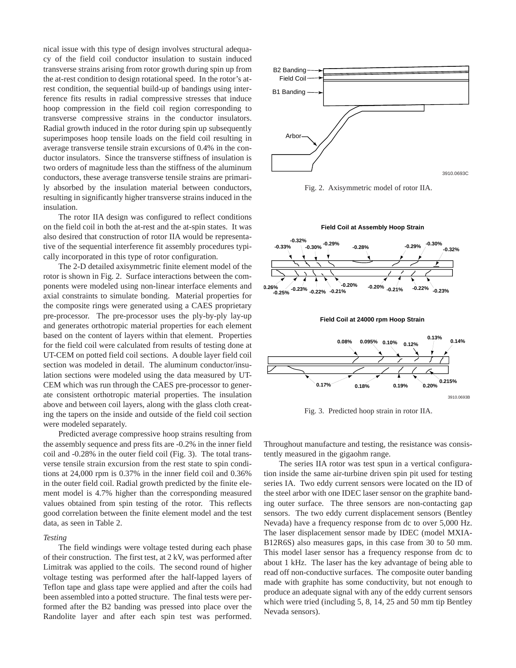nical issue with this type of design involves structural adequacy of the field coil conductor insulation to sustain induced transverse strains arising from rotor growth during spin up from the at-rest condition to design rotational speed. In the rotor's atrest condition, the sequential build-up of bandings using interference fits results in radial compressive stresses that induce hoop compression in the field coil region corresponding to transverse compressive strains in the conductor insulators. Radial growth induced in the rotor during spin up subsequently superimposes hoop tensile loads on the field coil resulting in average transverse tensile strain excursions of 0.4% in the conductor insulators. Since the transverse stiffness of insulation is two orders of magnitude less than the stiffness of the aluminum conductors, these average transverse tensile strains are primarily absorbed by the insulation material between conductors, resulting in significantly higher transverse strains induced in the insulation.

The rotor IIA design was configured to reflect conditions on the field coil in both the at-rest and the at-spin states. It was also desired that construction of rotor IIA would be representative of the sequential interference fit assembly procedures typically incorporated in this type of rotor configuration.

The 2-D detailed axisymmetric finite element model of the rotor is shown in Fig. 2. Surface interactions between the components were modeled using non-linear interface elements and axial constraints to simulate bonding. Material properties for the composite rings were generated using a CAES proprietary pre-processor. The pre-processor uses the ply-by-ply lay-up and generates orthotropic material properties for each element based on the content of layers within that element. Properties for the field coil were calculated from results of testing done at UT-CEM on potted field coil sections. A double layer field coil section was modeled in detail. The aluminum conductor/insulation sections were modeled using the data measured by UT-CEM which was run through the CAES pre-processor to generate consistent orthotropic material properties. The insulation above and between coil layers, along with the glass cloth creating the tapers on the inside and outside of the field coil section were modeled separately.

Predicted average compressive hoop strains resulting from the assembly sequence and press fits are -0.2% in the inner field coil and -0.28% in the outer field coil (Fig. 3). The total transverse tensile strain excursion from the rest state to spin conditions at 24,000 rpm is 0.37% in the inner field coil and 0.36% in the outer field coil. Radial growth predicted by the finite element model is 4.7% higher than the corresponding measured values obtained from spin testing of the rotor. This reflects good correlation between the finite element model and the test data, as seen in Table 2.

#### *Testing*

The field windings were voltage tested during each phase of their construction. The first test, at 2 kV, was performed after Limitrak was applied to the coils. The second round of higher voltage testing was performed after the half-lapped layers of Teflon tape and glass tape were applied and after the coils had been assembled into a potted structure. The final tests were performed after the B2 banding was pressed into place over the Randolite layer and after each spin test was performed.



Fig. 2. Axisymmetric model of rotor IIA.





Fig. 3. Predicted hoop strain in rotor IIA.

Throughout manufacture and testing, the resistance was consistently measured in the gigaohm range.

The series IIA rotor was test spun in a vertical configuration inside the same air-turbine driven spin pit used for testing series IA. Two eddy current sensors were located on the ID of the steel arbor with one IDEC laser sensor on the graphite banding outer surface. The three sensors are non-contacting gap sensors. The two eddy current displacement sensors (Bentley Nevada) have a frequency response from dc to over 5,000 Hz. The laser displacement sensor made by IDEC (model MXIA-B12R6S) also measures gaps, in this case from 30 to 50 mm. This model laser sensor has a frequency response from dc to about 1 kHz. The laser has the key advantage of being able to read off non-conductive surfaces. The composite outer banding made with graphite has some conductivity, but not enough to produce an adequate signal with any of the eddy current sensors which were tried (including 5, 8, 14, 25 and 50 mm tip Bentley Nevada sensors).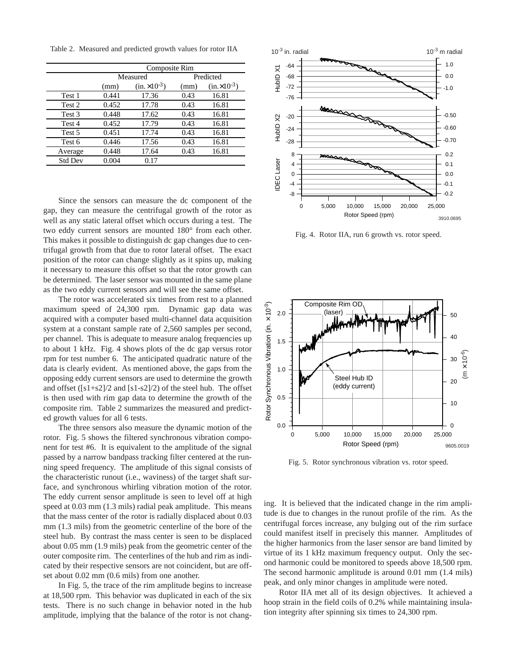Table 2. Measured and predicted growth values for rotor IIA

|                | Composite Rim |                        |           |                        |  |
|----------------|---------------|------------------------|-----------|------------------------|--|
|                | Measured      |                        | Predicted |                        |  |
|                | (mm)          | $(in. \times 10^{-3})$ | (mm)      | $(in. \times 10^{-3})$ |  |
| Test 1         | 0.441         | 17.36                  | 0.43      | 16.81                  |  |
| Test 2         | 0.452         | 17.78                  | 0.43      | 16.81                  |  |
| Test 3         | 0.448         | 17.62                  | 0.43      | 16.81                  |  |
| Test 4         | 0.452         | 17.79                  | 0.43      | 16.81                  |  |
| Test 5         | 0.451         | 17.74                  | 0.43      | 16.81                  |  |
| Test 6         | 0.446         | 17.56                  | 0.43      | 16.81                  |  |
| Average        | 0.448         | 17.64                  | 0.43      | 16.81                  |  |
| <b>Std Dev</b> | 0.004         | 0.17                   |           |                        |  |

Since the sensors can measure the dc component of the gap, they can measure the centrifugal growth of the rotor as well as any static lateral offset which occurs during a test. The two eddy current sensors are mounted 180° from each other. This makes it possible to distinguish dc gap changes due to centrifugal growth from that due to rotor lateral offset. The exact position of the rotor can change slightly as it spins up, making it necessary to measure this offset so that the rotor growth can be determined. The laser sensor was mounted in the same plane as the two eddy current sensors and will see the same offset.

The rotor was accelerated six times from rest to a planned maximum speed of 24,300 rpm. Dynamic gap data was acquired with a computer based multi-channel data acquisition system at a constant sample rate of 2,560 samples per second, per channel. This is adequate to measure analog frequencies up to about 1 kHz. Fig. 4 shows plots of the dc gap versus rotor rpm for test number 6. The anticipated quadratic nature of the data is clearly evident. As mentioned above, the gaps from the opposing eddy current sensors are used to determine the growth and offset ([s1+s2]/2 and [s1-s2]/2) of the steel hub. The offset is then used with rim gap data to determine the growth of the composite rim. Table 2 summarizes the measured and predicted growth values for all 6 tests.

The three sensors also measure the dynamic motion of the rotor. Fig. 5 shows the filtered synchronous vibration component for test #6. It is equivalent to the amplitude of the signal passed by a narrow bandpass tracking filter centered at the running speed frequency. The amplitude of this signal consists of the characteristic runout (i.e., waviness) of the target shaft surface, and synchronous whirling vibration motion of the rotor. The eddy current sensor amplitude is seen to level off at high speed at 0.03 mm (1.3 mils) radial peak amplitude. This means that the mass center of the rotor is radially displaced about 0.03 mm (1.3 mils) from the geometric centerline of the bore of the steel hub. By contrast the mass center is seen to be displaced about 0.05 mm (1.9 mils) peak from the geometric center of the outer composite rim. The centerlines of the hub and rim as indicated by their respective sensors are not coincident, but are offset about 0.02 mm (0.6 mils) from one another.

In Fig. 5, the trace of the rim amplitude begins to increase at 18,500 rpm. This behavior was duplicated in each of the six tests. There is no such change in behavior noted in the hub amplitude, implying that the balance of the rotor is not chang-



Fig. 4. Rotor IIA, run 6 growth vs. rotor speed.



Fig. 5. Rotor synchronous vibration vs. rotor speed.

ing. It is believed that the indicated change in the rim amplitude is due to changes in the runout profile of the rim. As the centrifugal forces increase, any bulging out of the rim surface could manifest itself in precisely this manner. Amplitudes of the higher harmonics from the laser sensor are band limited by virtue of its 1 kHz maximum frequency output. Only the second harmonic could be monitored to speeds above 18,500 rpm. The second harmonic amplitude is around 0.01 mm (1.4 mils) peak, and only minor changes in amplitude were noted.

Rotor IIA met all of its design objectives. It achieved a hoop strain in the field coils of 0.2% while maintaining insulation integrity after spinning six times to 24,300 rpm.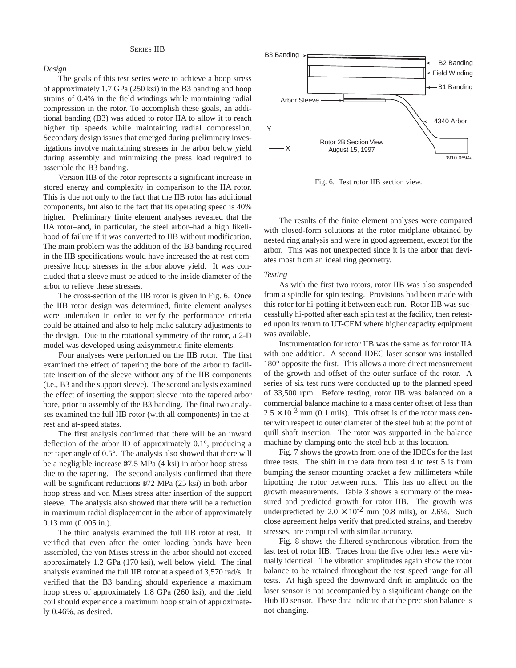## *Design*

The goals of this test series were to achieve a hoop stress of approximately 1.7 GPa (250 ksi) in the B3 banding and hoop strains of 0.4% in the field windings while maintaining radial compression in the rotor. To accomplish these goals, an additional banding (B3) was added to rotor IIA to allow it to reach higher tip speeds while maintaining radial compression. Secondary design issues that emerged during preliminary investigations involve maintaining stresses in the arbor below yield during assembly and minimizing the press load required to assemble the B3 banding.

Version IIB of the rotor represents a significant increase in stored energy and complexity in comparison to the IIA rotor. This is due not only to the fact that the IIB rotor has additional components, but also to the fact that its operating speed is 40% higher. Preliminary finite element analyses revealed that the IIA rotor–and, in particular, the steel arbor–had a high likelihood of failure if it was converted to IIB without modification. The main problem was the addition of the B3 banding required in the IIB specifications would have increased the at-rest compressive hoop stresses in the arbor above yield. It was concluded that a sleeve must be added to the inside diameter of the arbor to relieve these stresses.

The cross-section of the IIB rotor is given in Fig. 6. Once the IIB rotor design was determined, finite element analyses were undertaken in order to verify the performance criteria could be attained and also to help make salutary adjustments to the design. Due to the rotational symmetry of the rotor, a 2-D model was developed using axisymmetric finite elements.

Four analyses were performed on the IIB rotor. The first examined the effect of tapering the bore of the arbor to facilitate insertion of the sleeve without any of the IIB components (i.e., B3 and the support sleeve). The second analysis examined the effect of inserting the support sleeve into the tapered arbor bore, prior to assembly of the B3 banding. The final two analyses examined the full IIB rotor (with all components) in the atrest and at-speed states.

The first analysis confirmed that there will be an inward deflection of the arbor ID of approximately 0.1°, producing a net taper angle of 0.5°. The analysis also showed that there will be a negligible increase 27.5 MPa (4 ksi) in arbor hoop stress due to the tapering. The second analysis confirmed that there will be significant reductions 172 MPa (25 ksi) in both arbor hoop stress and von Mises stress after insertion of the support sleeve. The analysis also showed that there will be a reduction in maximum radial displacement in the arbor of approximately 0.13 mm (0.005 in.).

The third analysis examined the full IIB rotor at rest. It verified that even after the outer loading bands have been assembled, the von Mises stress in the arbor should not exceed approximately 1.2 GPa (170 ksi), well below yield. The final analysis examined the full IIB rotor at a speed of 3,570 rad/s. It verified that the B3 banding should experience a maximum hoop stress of approximately 1.8 GPa (260 ksi), and the field coil should experience a maximum hoop strain of approximately 0.46%, as desired.



Fig. 6. Test rotor IIB section view.

The results of the finite element analyses were compared with closed-form solutions at the rotor midplane obtained by nested ring analysis and were in good agreement, except for the arbor. This was not unexpected since it is the arbor that deviates most from an ideal ring geometry.

#### *Testing*

As with the first two rotors, rotor IIB was also suspended from a spindle for spin testing. Provisions had been made with this rotor for hi-potting it between each run. Rotor IIB was successfully hi-potted after each spin test at the facility, then retested upon its return to UT-CEM where higher capacity equipment was available.

Instrumentation for rotor IIB was the same as for rotor IIA with one addition. A second IDEC laser sensor was installed 180° opposite the first. This allows a more direct measurement of the growth and offset of the outer surface of the rotor. A series of six test runs were conducted up to the planned speed of 33,500 rpm. Before testing, rotor IIB was balanced on a commercial balance machine to a mass center offset of less than  $2.5 \times 10^{-3}$  mm (0.1 mils). This offset is of the rotor mass center with respect to outer diameter of the steel hub at the point of quill shaft insertion. The rotor was supported in the balance machine by clamping onto the steel hub at this location.

Fig. 7 shows the growth from one of the IDECs for the last three tests. The shift in the data from test 4 to test 5 is from bumping the sensor mounting bracket a few millimeters while hipotting the rotor between runs. This has no affect on the growth measurements. Table 3 shows a summary of the measured and predicted growth for rotor IIB. The growth was underpredicted by  $2.0 \times 10^{-2}$  mm (0.8 mils), or 2.6%. Such close agreement helps verify that predicted strains, and thereby stresses, are computed with similar accuracy.

Fig. 8 shows the filtered synchronous vibration from the last test of rotor IIB. Traces from the five other tests were virtually identical. The vibration amplitudes again show the rotor balance to be retained throughout the test speed range for all tests. At high speed the downward drift in amplitude on the laser sensor is not accompanied by a significant change on the Hub ID sensor. These data indicate that the precision balance is not changing.